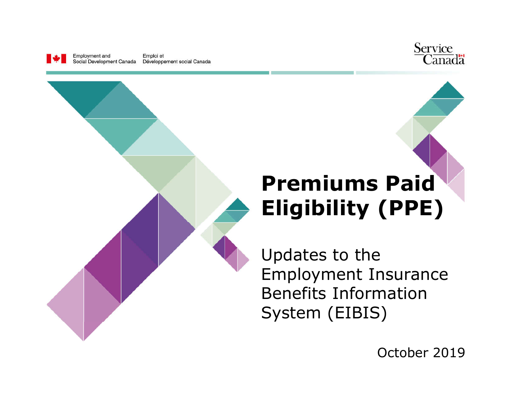

Emploi et Social Development Canada Développement social Canada



# **Premiums Paid Eligibility (PPE)**

Updates to the Employment Insurance Benefits Information System (EIBIS)

October 2019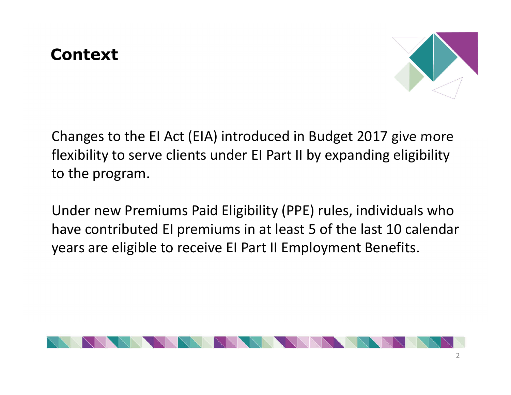### **Context**



Changes to the EI Act (EIA) introduced in Budget 2017 give more flexibility to serve clients under EI Part II by expanding eligibility to the program.

Under new Premiums Paid Eligibility (PPE) rules, individuals who have contributed EI premiums in at least 5 of the last 10 calendar years are eligible to receive EI Part II Employment Benefits.

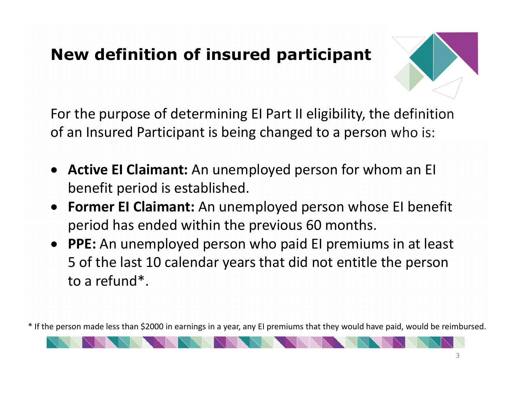## **New definition of insured participant**



For the purpose of determining EI Part II eligibility, the definition of an Insured Participant is being changed to a person who is:

- **Active EI Claimant:** An unemployed person for whom an EI benefit period is established.
- **Former EI Claimant:** An unemployed person whose EI benefit period has ended within the previous 60 months.
- **PPE:** An unemployed person who paid EI premiums in at least 5 of the last 10 calendar years that did not entitle the person to a refund\*.

\* If the person made less than \$2000 in earnings in a year, any EI premiums that they would have paid, would be reimbursed.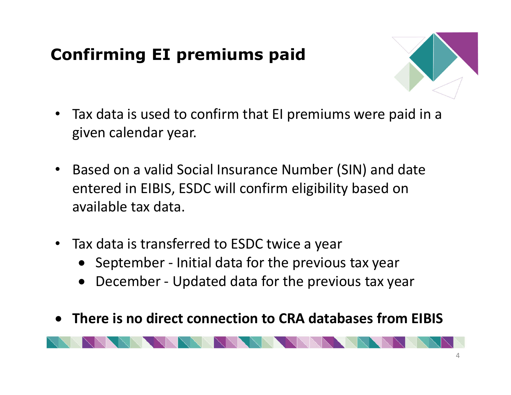# **Confirming EI premiums paid**



- Tax data is used to confirm that EI premiums were paid in a given calendar year.
- Based on a valid Social Insurance Number (SIN) and date entered in EIBIS, ESDC will confirm eligibility based on available tax data.
- Tax data is transferred to ESDC twice a year
	- September Initial data for the previous tax year
	- December Updated data for the previous tax year
- **There is no direct connection to CRA databases from EIBIS**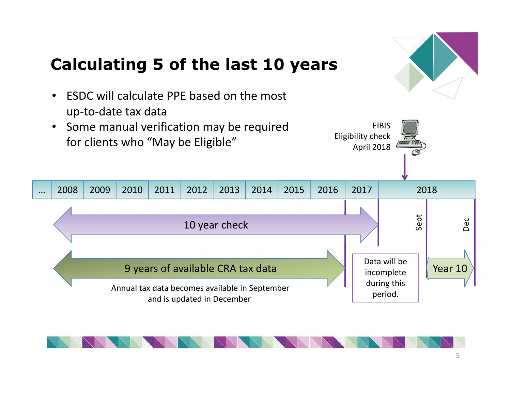

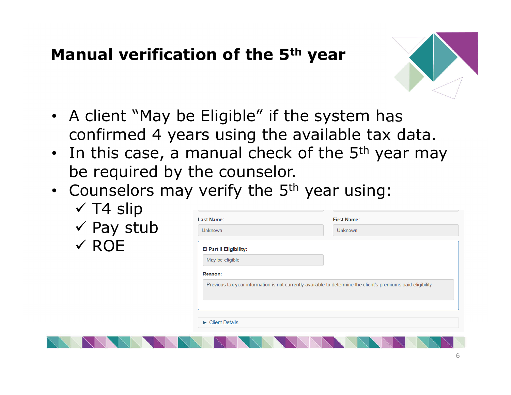#### **Manual verification of the 5th year**



- A client "May be Eligible" if the system has confirmed 4 years using the available tax data.
- $\cdot$  In this case, a manual check of the 5<sup>th</sup> year may be required by the counselor.
- Counselors may verify the  $5<sup>th</sup>$  year using:

|                       | Last Name:                           | <b>First Name:</b>                                                                                           |
|-----------------------|--------------------------------------|--------------------------------------------------------------------------------------------------------------|
| $\checkmark$ Pay stub | <b>Unknown</b>                       | <b>Unknown</b>                                                                                               |
| $\times$ ROE          | El Part II Eligibility:              |                                                                                                              |
|                       | May be eligible                      |                                                                                                              |
|                       | Reason:                              |                                                                                                              |
|                       |                                      | Previous tax year information is not currently available to determine the client's premiums paid eligibility |
|                       |                                      |                                                                                                              |
|                       |                                      |                                                                                                              |
|                       |                                      |                                                                                                              |
|                       | $\blacktriangleright$ Client Details |                                                                                                              |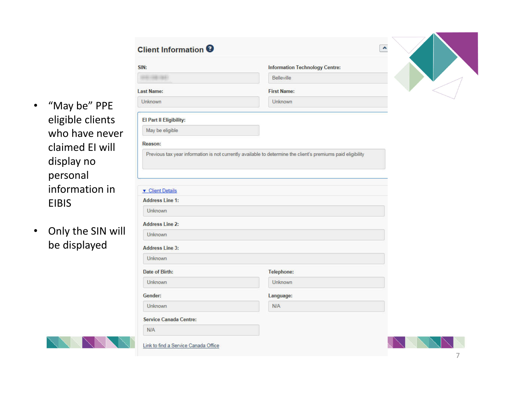• "May be" PPE eligible clients who have never claimed EI will display no personal information in EIBIS

Client Information 6

• Only the SIN will be displayed

| SIN:                                                       | <b>Information Technology Centre:</b> |
|------------------------------------------------------------|---------------------------------------|
| $-2 - 1661$                                                | Belleville                            |
| <b>Last Name:</b>                                          | <b>First Name:</b>                    |
| Unknown                                                    | <b>Unknown</b>                        |
| El Part II Eligibility:                                    |                                       |
| May be eligible                                            |                                       |
| Reason:                                                    |                                       |
| <b>v</b> Client Details<br><b>Address Line 1:</b>          |                                       |
| <b>Unknown</b><br><b>Address Line 2:</b><br><b>Unknown</b> |                                       |
| <b>Address Line 3:</b>                                     |                                       |
| <b>Unknown</b>                                             |                                       |
| Date of Birth:                                             | <b>Telephone:</b>                     |
| <b>Unknown</b>                                             | Unknown                               |
| Gender:                                                    | Language:                             |
| <b>Unknown</b>                                             | <b>N/A</b>                            |
| <b>Service Canada Centre:</b>                              |                                       |



 $\overline{a}$